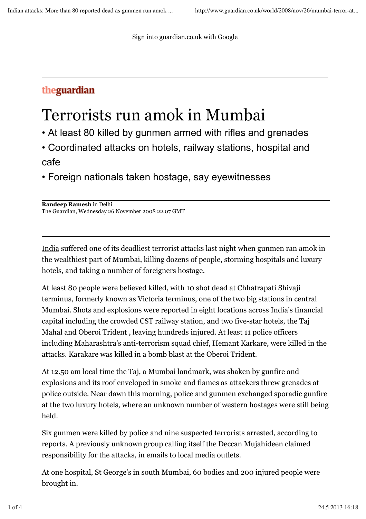Sign into guardian.co.uk with Google

## theguardian

## Terrorists run amok in Mumbai

- At least 80 killed by gunmen armed with rifles and grenades
- Coordinated attacks on hotels, railway stations, hospital and cafe
- Foreign nationals taken hostage, say eyewitnesses

**Randeep Ramesh** in Delhi The Guardian, Wednesday 26 November 2008 22.07 GMT

India suffered one of its deadliest terrorist attacks last night when gunmen ran amok in the wealthiest part of Mumbai, killing dozens of people, storming hospitals and luxury hotels, and taking a number of foreigners hostage.

At least 80 people were believed killed, with 10 shot dead at Chhatrapati Shivaji terminus, formerly known as Victoria terminus, one of the two big stations in central Mumbai. Shots and explosions were reported in eight locations across India's financial capital including the crowded CST railway station, and two five-star hotels, the Taj Mahal and Oberoi Trident , leaving hundreds injured. At least 11 police officers including Maharashtra's anti-terrorism squad chief, Hemant Karkare, were killed in the attacks. Karakare was killed in a bomb blast at the Oberoi Trident.

At 12.50 am local time the Taj, a Mumbai landmark, was shaken by gunfire and explosions and its roof enveloped in smoke and flames as attackers threw grenades at police outside. Near dawn this morning, police and gunmen exchanged sporadic gunfire at the two luxury hotels, where an unknown number of western hostages were still being held.

Six gunmen were killed by police and nine suspected terrorists arrested, according to reports. A previously unknown group calling itself the Deccan Mujahideen claimed responsibility for the attacks, in emails to local media outlets.

At one hospital, St George's in south Mumbai, 60 bodies and 200 injured people were brought in.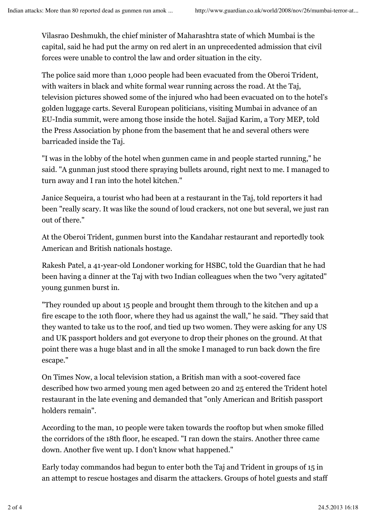Vilasrao Deshmukh, the chief minister of Maharashtra state of which Mumbai is the capital, said he had put the army on red alert in an unprecedented admission that civil forces were unable to control the law and order situation in the city.

The police said more than 1,000 people had been evacuated from the Oberoi Trident, with waiters in black and white formal wear running across the road. At the Taj, television pictures showed some of the injured who had been evacuated on to the hotel's golden luggage carts. Several European politicians, visiting Mumbai in advance of an EU-India summit, were among those inside the hotel. Sajjad Karim, a Tory MEP, told the Press Association by phone from the basement that he and several others were barricaded inside the Taj.

"I was in the lobby of the hotel when gunmen came in and people started running," he said. "A gunman just stood there spraying bullets around, right next to me. I managed to turn away and I ran into the hotel kitchen."

Janice Sequeira, a tourist who had been at a restaurant in the Taj, told reporters it had been "really scary. It was like the sound of loud crackers, not one but several, we just ran out of there."

At the Oberoi Trident, gunmen burst into the Kandahar restaurant and reportedly took American and British nationals hostage.

Rakesh Patel, a 41-year-old Londoner working for HSBC, told the Guardian that he had been having a dinner at the Taj with two Indian colleagues when the two "very agitated" young gunmen burst in.

"They rounded up about 15 people and brought them through to the kitchen and up a fire escape to the 10th floor, where they had us against the wall," he said. "They said that they wanted to take us to the roof, and tied up two women. They were asking for any US and UK passport holders and got everyone to drop their phones on the ground. At that point there was a huge blast and in all the smoke I managed to run back down the fire escape."

On Times Now, a local television station, a British man with a soot-covered face described how two armed young men aged between 20 and 25 entered the Trident hotel restaurant in the late evening and demanded that "only American and British passport holders remain".

According to the man, 10 people were taken towards the rooftop but when smoke filled the corridors of the 18th floor, he escaped. "I ran down the stairs. Another three came down. Another five went up. I don't know what happened."

Early today commandos had begun to enter both the Taj and Trident in groups of 15 in an attempt to rescue hostages and disarm the attackers. Groups of hotel guests and staff